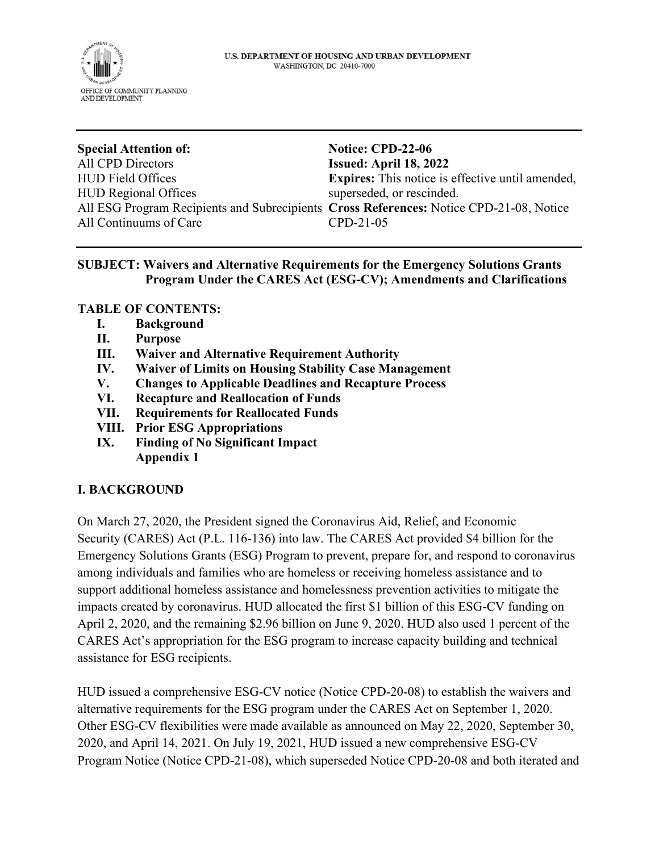

**Special Attention of:** All CPD Directors HUD Field Offices HUD Regional Offices All ESG Program Recipients and Subrecipients **Cross References:** Notice CPD-21-08, Notice All Continuums of Care

**Notice: CPD-22-06 Issued: April 18, 2022 Expires:** This notice is effective until amended, superseded, or rescinded. CPD-21-05

## **SUBJECT: Waivers and Alternative Requirements for the Emergency Solutions Grants Program Under the CARES Act (ESG-CV); Amendments and Clarifications**

#### **TABLE OF CONTENTS:**

- **I. Background**
- **II. Purpose**
- **III. Waiver and Alternative Requirement Authority**
- **IV. Waiver of Limits on Housing Stability Case Management**
- **V. Changes to Applicable Deadlines and Recapture Process**
- **VI. Recapture and Reallocation of Funds**
- **VII. Requirements for Reallocated Funds**
- **VIII. Prior ESG Appropriations**
- **IX. Finding of No Significant Impact Appendix 1**

## **I. BACKGROUND**

On March 27, 2020, the President signed the Coronavirus Aid, Relief, and Economic Security (CARES) Act (P.L. 116-136) into law. The CARES Act provided \$4 billion for the Emergency Solutions Grants (ESG) Program to prevent, prepare for, and respond to coronavirus among individuals and families who are homeless or receiving homeless assistance and to support additional homeless assistance and homelessness prevention activities to mitigate the impacts created by coronavirus. HUD allocated the first \$1 billion of this ESG-CV funding on April 2, 2020, and the remaining \$2.96 billion on June 9, 2020. HUD also used 1 percent of the CARES Act's appropriation for the ESG program to increase capacity building and technical assistance for ESG recipients.

HUD issued a comprehensive ESG-CV notice (Notice CPD-20-08) to establish the waivers and alternative requirements for the ESG program under the CARES Act on September 1, 2020. Other ESG-CV flexibilities were made available as announced on May 22, 2020, September 30, 2020, and April 14, 2021. On July 19, 2021, HUD issued a new comprehensive ESG-CV Program Notice (Notice CPD-21-08), which superseded Notice CPD-20-08 and both iterated and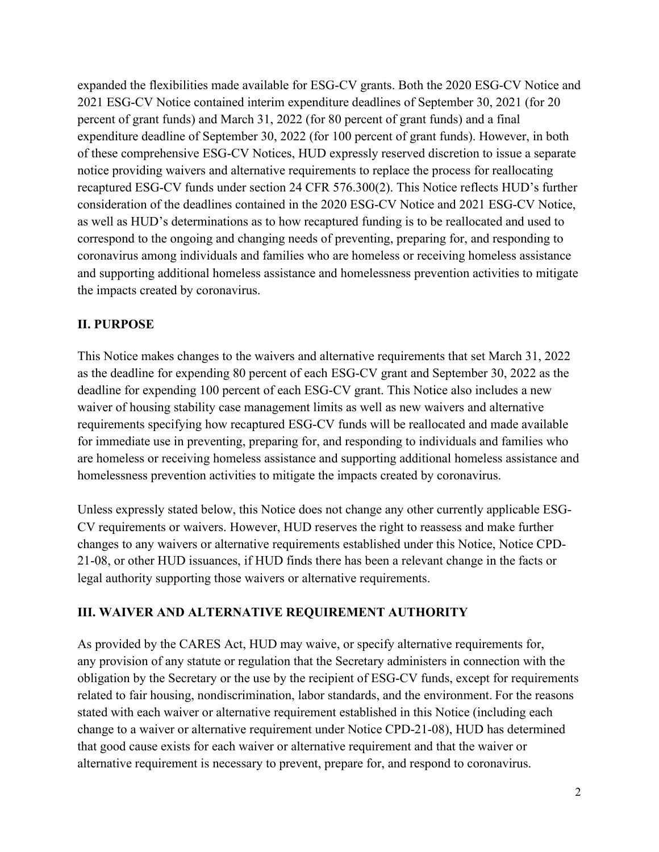expanded the flexibilities made available for ESG-CV grants. Both the 2020 ESG-CV Notice and 2021 ESG-CV Notice contained interim expenditure deadlines of September 30, 2021 (for 20 percent of grant funds) and March 31, 2022 (for 80 percent of grant funds) and a final expenditure deadline of September 30, 2022 (for 100 percent of grant funds). However, in both of these comprehensive ESG-CV Notices, HUD expressly reserved discretion to issue a separate notice providing waivers and alternative requirements to replace the process for reallocating recaptured ESG-CV funds under section 24 CFR 576.300(2). This Notice reflects HUD's further consideration of the deadlines contained in the 2020 ESG-CV Notice and 2021 ESG-CV Notice, as well as HUD's determinations as to how recaptured funding is to be reallocated and used to correspond to the ongoing and changing needs of preventing, preparing for, and responding to coronavirus among individuals and families who are homeless or receiving homeless assistance and supporting additional homeless assistance and homelessness prevention activities to mitigate the impacts created by coronavirus.

# **II. PURPOSE**

This Notice makes changes to the waivers and alternative requirements that set March 31, 2022 as the deadline for expending 80 percent of each ESG-CV grant and September 30, 2022 as the deadline for expending 100 percent of each ESG-CV grant. This Notice also includes a new waiver of housing stability case management limits as well as new waivers and alternative requirements specifying how recaptured ESG-CV funds will be reallocated and made available for immediate use in preventing, preparing for, and responding to individuals and families who are homeless or receiving homeless assistance and supporting additional homeless assistance and homelessness prevention activities to mitigate the impacts created by coronavirus.

Unless expressly stated below, this Notice does not change any other currently applicable ESG-CV requirements or waivers. However, HUD reserves the right to reassess and make further changes to any waivers or alternative requirements established under this Notice, Notice CPD-21-08, or other HUD issuances, if HUD finds there has been a relevant change in the facts or legal authority supporting those waivers or alternative requirements.

# **III. WAIVER AND ALTERNATIVE REQUIREMENT AUTHORITY**

As provided by the CARES Act, HUD may waive, or specify alternative requirements for, any provision of any statute or regulation that the Secretary administers in connection with the obligation by the Secretary or the use by the recipient of ESG-CV funds, except for requirements related to fair housing, nondiscrimination, labor standards, and the environment. For the reasons stated with each waiver or alternative requirement established in this Notice (including each change to a waiver or alternative requirement under Notice CPD-21-08), HUD has determined that good cause exists for each waiver or alternative requirement and that the waiver or alternative requirement is necessary to prevent, prepare for, and respond to coronavirus.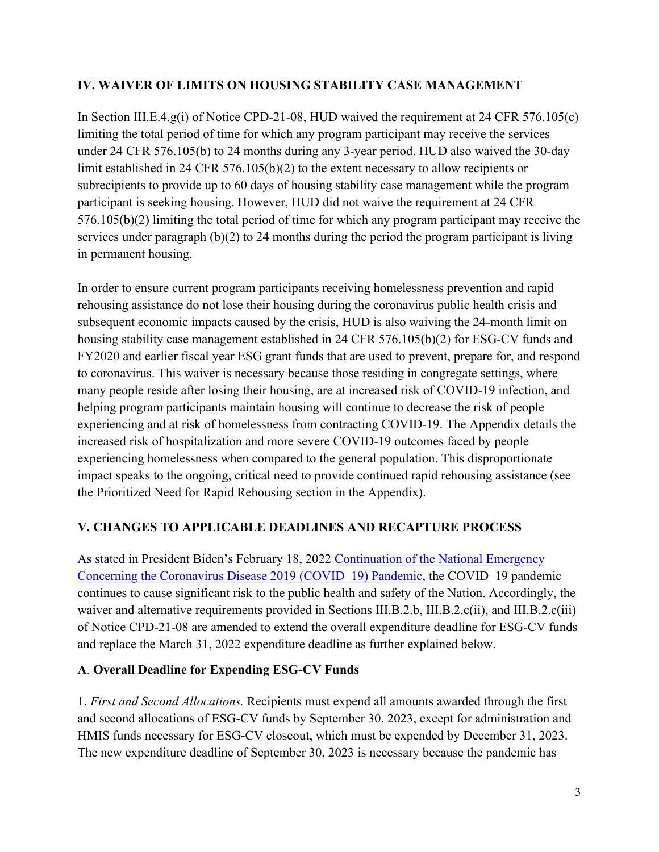## **IV. WAIVER OF LIMITS ON HOUSING STABILITY CASE MANAGEMENT**

In Section III.E.4.g(i) of Notice CPD-21-08, HUD waived the requirement at 24 CFR 576.105(c) limiting the total period of time for which any program participant may receive the services under 24 CFR 576.105(b) to 24 months during any 3-year period. HUD also waived the 30-day limit established in 24 CFR 576.105(b)(2) to the extent necessary to allow recipients or subrecipients to provide up to 60 days of housing stability case management while the program participant is seeking housing. However, HUD did not waive the requirement at 24 CFR 576.105(b)(2) limiting the total period of time for which any program participant may receive the services under paragraph (b)(2) to 24 months during the period the program participant is living in permanent housing.

In order to ensure current program participants receiving homelessness prevention and rapid rehousing assistance do not lose their housing during the coronavirus public health crisis and subsequent economic impacts caused by the crisis, HUD is also waiving the 24-month limit on housing stability case management established in 24 CFR 576.105(b)(2) for ESG-CV funds and FY2020 and earlier fiscal year ESG grant funds that are used to prevent, prepare for, and respond to coronavirus. This waiver is necessary because those residing in congregate settings, where many people reside after losing their housing, are at increased risk of COVID-19 infection, and helping program participants maintain housing will continue to decrease the risk of people experiencing and at risk of homelessness from contracting COVID-19. The Appendix details the increased risk of hospitalization and more severe COVID-19 outcomes faced by people experiencing homelessness when compared to the general population. This disproportionate impact speaks to the ongoing, critical need to provide continued rapid rehousing assistance (see the Prioritized Need for Rapid Rehousing section in the Appendix).

# **V. CHANGES TO APPLICABLE DEADLINES AND RECAPTURE PROCESS**

As stated in President Biden's February 18, 2022 [Continuation of the National Emergency](https://www.govinfo.gov/content/pkg/FR-2022-02-23/pdf/2022-03972.pdf)  [Concerning the Coronavirus Disease 2019 \(COVID–19\) Pandemic,](https://www.govinfo.gov/content/pkg/FR-2022-02-23/pdf/2022-03972.pdf) the COVID–19 pandemic continues to cause significant risk to the public health and safety of the Nation. Accordingly, the waiver and alternative requirements provided in Sections III.B.2.b, III.B.2.c(ii), and III.B.2.c(iii) of Notice CPD-21-08 are amended to extend the overall expenditure deadline for ESG-CV funds and replace the March 31, 2022 expenditure deadline as further explained below.

## **A**. **Overall Deadline for Expending ESG-CV Funds**

1. *First and Second Allocations.* Recipients must expend all amounts awarded through the first and second allocations of ESG-CV funds by September 30, 2023, except for administration and HMIS funds necessary for ESG-CV closeout, which must be expended by December 31, 2023. The new expenditure deadline of September 30, 2023 is necessary because the pandemic has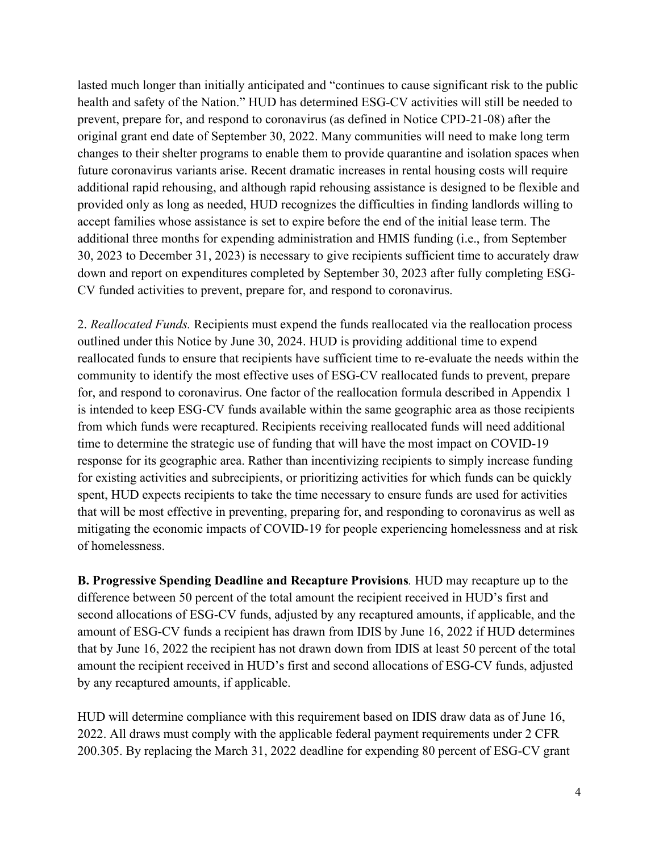lasted much longer than initially anticipated and "continues to cause significant risk to the public health and safety of the Nation." HUD has determined ESG-CV activities will still be needed to prevent, prepare for, and respond to coronavirus (as defined in Notice CPD-21-08) after the original grant end date of September 30, 2022. Many communities will need to make long term changes to their shelter programs to enable them to provide quarantine and isolation spaces when future coronavirus variants arise. Recent dramatic increases in rental housing costs will require additional rapid rehousing, and although rapid rehousing assistance is designed to be flexible and provided only as long as needed, HUD recognizes the difficulties in finding landlords willing to accept families whose assistance is set to expire before the end of the initial lease term. The additional three months for expending administration and HMIS funding (i.e., from September 30, 2023 to December 31, 2023) is necessary to give recipients sufficient time to accurately draw down and report on expenditures completed by September 30, 2023 after fully completing ESG-CV funded activities to prevent, prepare for, and respond to coronavirus.

2. *Reallocated Funds.* Recipients must expend the funds reallocated via the reallocation process outlined under this Notice by June 30, 2024. HUD is providing additional time to expend reallocated funds to ensure that recipients have sufficient time to re-evaluate the needs within the community to identify the most effective uses of ESG-CV reallocated funds to prevent, prepare for, and respond to coronavirus. One factor of the reallocation formula described in Appendix 1 is intended to keep ESG-CV funds available within the same geographic area as those recipients from which funds were recaptured. Recipients receiving reallocated funds will need additional time to determine the strategic use of funding that will have the most impact on COVID-19 response for its geographic area. Rather than incentivizing recipients to simply increase funding for existing activities and subrecipients, or prioritizing activities for which funds can be quickly spent, HUD expects recipients to take the time necessary to ensure funds are used for activities that will be most effective in preventing, preparing for, and responding to coronavirus as well as mitigating the economic impacts of COVID-19 for people experiencing homelessness and at risk of homelessness.

**B. Progressive Spending Deadline and Recapture Provisions***.* HUD may recapture up to the difference between 50 percent of the total amount the recipient received in HUD's first and second allocations of ESG-CV funds, adjusted by any recaptured amounts, if applicable, and the amount of ESG-CV funds a recipient has drawn from IDIS by June 16, 2022 if HUD determines that by June 16, 2022 the recipient has not drawn down from IDIS at least 50 percent of the total amount the recipient received in HUD's first and second allocations of ESG-CV funds, adjusted by any recaptured amounts, if applicable.

HUD will determine compliance with this requirement based on IDIS draw data as of June 16, 2022. All draws must comply with the applicable federal payment requirements under 2 CFR 200.305. By replacing the March 31, 2022 deadline for expending 80 percent of ESG-CV grant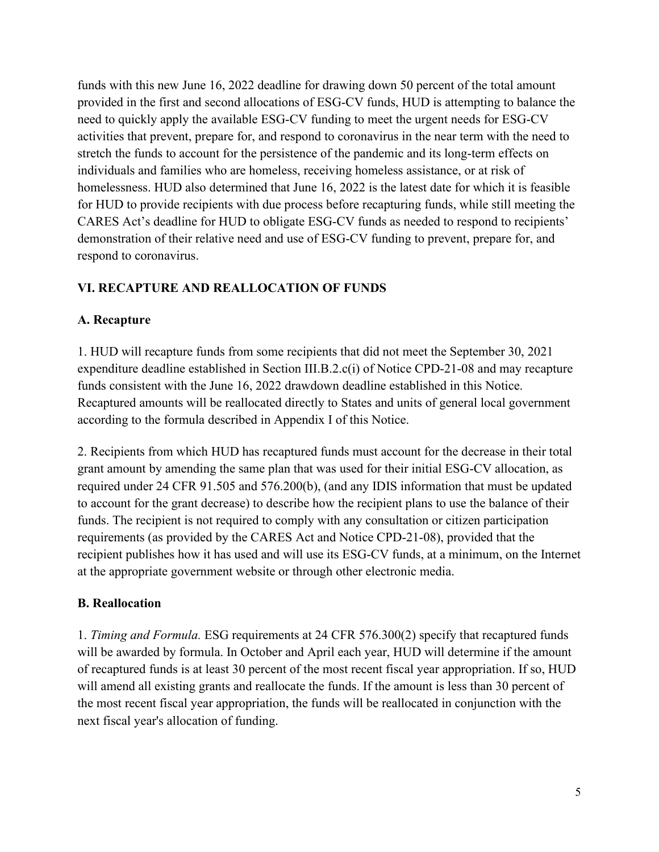funds with this new June 16, 2022 deadline for drawing down 50 percent of the total amount provided in the first and second allocations of ESG-CV funds, HUD is attempting to balance the need to quickly apply the available ESG-CV funding to meet the urgent needs for ESG-CV activities that prevent, prepare for, and respond to coronavirus in the near term with the need to stretch the funds to account for the persistence of the pandemic and its long-term effects on individuals and families who are homeless, receiving homeless assistance, or at risk of homelessness. HUD also determined that June 16, 2022 is the latest date for which it is feasible for HUD to provide recipients with due process before recapturing funds, while still meeting the CARES Act's deadline for HUD to obligate ESG-CV funds as needed to respond to recipients' demonstration of their relative need and use of ESG-CV funding to prevent, prepare for, and respond to coronavirus.

# **VI. RECAPTURE AND REALLOCATION OF FUNDS**

#### **A. Recapture**

1. HUD will recapture funds from some recipients that did not meet the September 30, 2021 expenditure deadline established in Section III.B.2.c(i) of Notice CPD-21-08 and may recapture funds consistent with the June 16, 2022 drawdown deadline established in this Notice. Recaptured amounts will be reallocated directly to States and units of general local government according to the formula described in Appendix I of this Notice.

2. Recipients from which HUD has recaptured funds must account for the decrease in their total grant amount by amending the same plan that was used for their initial ESG-CV allocation, as required under 24 CFR 91.505 and 576.200(b), (and any IDIS information that must be updated to account for the grant decrease) to describe how the recipient plans to use the balance of their funds. The recipient is not required to comply with any consultation or citizen participation requirements (as provided by the CARES Act and Notice CPD-21-08), provided that the recipient publishes how it has used and will use its ESG-CV funds, at a minimum, on the Internet at the appropriate government website or through other electronic media.

## **B. Reallocation**

1. *Timing and Formula.* ESG requirements at 24 CFR 576.300(2) specify that recaptured funds will be awarded by formula. In October and April each year, HUD will determine if the amount of recaptured funds is at least 30 percent of the most recent fiscal year appropriation. If so, HUD will amend all existing grants and reallocate the funds. If the amount is less than 30 percent of the most recent fiscal year appropriation, the funds will be reallocated in conjunction with the next fiscal year's allocation of funding.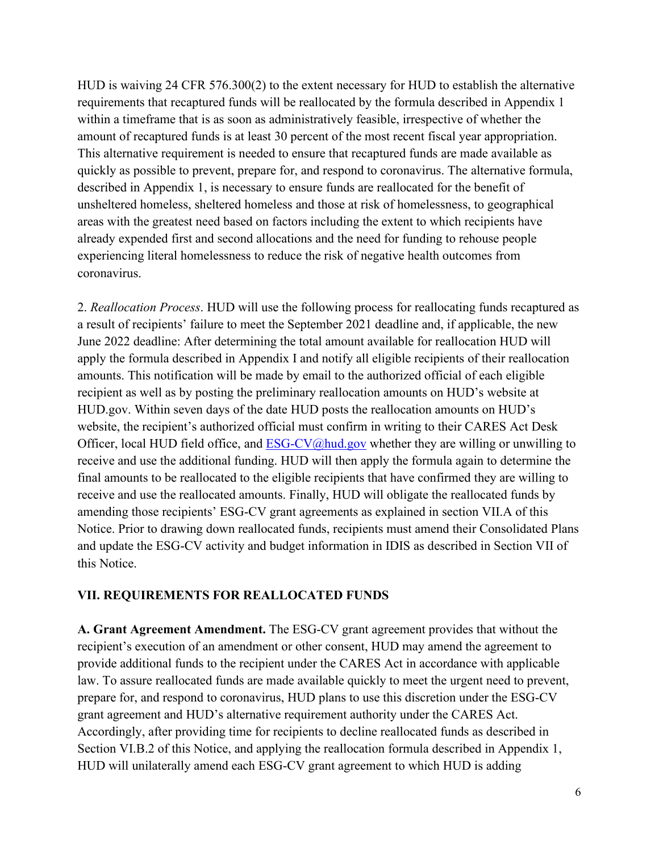HUD is waiving 24 CFR 576.300(2) to the extent necessary for HUD to establish the alternative requirements that recaptured funds will be reallocated by the formula described in Appendix 1 within a timeframe that is as soon as administratively feasible, irrespective of whether the amount of recaptured funds is at least 30 percent of the most recent fiscal year appropriation. This alternative requirement is needed to ensure that recaptured funds are made available as quickly as possible to prevent, prepare for, and respond to coronavirus. The alternative formula, described in Appendix 1, is necessary to ensure funds are reallocated for the benefit of unsheltered homeless, sheltered homeless and those at risk of homelessness, to geographical areas with the greatest need based on factors including the extent to which recipients have already expended first and second allocations and the need for funding to rehouse people experiencing literal homelessness to reduce the risk of negative health outcomes from coronavirus.

2. *Reallocation Process*. HUD will use the following process for reallocating funds recaptured as a result of recipients' failure to meet the September 2021 deadline and, if applicable, the new June 2022 deadline: After determining the total amount available for reallocation HUD will apply the formula described in Appendix I and notify all eligible recipients of their reallocation amounts. This notification will be made by email to the authorized official of each eligible recipient as well as by posting the preliminary reallocation amounts on HUD's website at HUD.gov. Within seven days of the date HUD posts the reallocation amounts on HUD's website, the recipient's authorized official must confirm in writing to their CARES Act Desk Officer, local HUD field office, and  $ESG-CV@hud.gov$  whether they are willing or unwilling to receive and use the additional funding. HUD will then apply the formula again to determine the final amounts to be reallocated to the eligible recipients that have confirmed they are willing to receive and use the reallocated amounts. Finally, HUD will obligate the reallocated funds by amending those recipients' ESG-CV grant agreements as explained in section VII.A of this Notice. Prior to drawing down reallocated funds, recipients must amend their Consolidated Plans and update the ESG-CV activity and budget information in IDIS as described in Section VII of this Notice.

#### **VII. REQUIREMENTS FOR REALLOCATED FUNDS**

**A. Grant Agreement Amendment.** The ESG-CV grant agreement provides that without the recipient's execution of an amendment or other consent, HUD may amend the agreement to provide additional funds to the recipient under the CARES Act in accordance with applicable law. To assure reallocated funds are made available quickly to meet the urgent need to prevent, prepare for, and respond to coronavirus, HUD plans to use this discretion under the ESG-CV grant agreement and HUD's alternative requirement authority under the CARES Act. Accordingly, after providing time for recipients to decline reallocated funds as described in Section VI.B.2 of this Notice, and applying the reallocation formula described in Appendix 1, HUD will unilaterally amend each ESG-CV grant agreement to which HUD is adding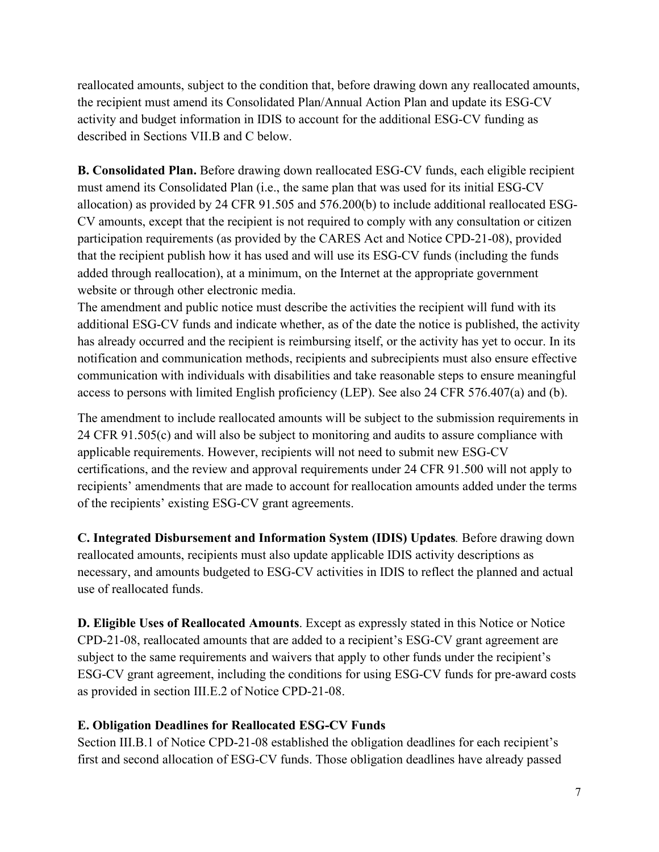reallocated amounts, subject to the condition that, before drawing down any reallocated amounts, the recipient must amend its Consolidated Plan/Annual Action Plan and update its ESG-CV activity and budget information in IDIS to account for the additional ESG-CV funding as described in Sections VII.B and C below.

**B. Consolidated Plan.** Before drawing down reallocated ESG-CV funds, each eligible recipient must amend its Consolidated Plan (i.e., the same plan that was used for its initial ESG-CV allocation) as provided by 24 CFR 91.505 and 576.200(b) to include additional reallocated ESG-CV amounts, except that the recipient is not required to comply with any consultation or citizen participation requirements (as provided by the CARES Act and Notice CPD-21-08), provided that the recipient publish how it has used and will use its ESG-CV funds (including the funds added through reallocation), at a minimum, on the Internet at the appropriate government website or through other electronic media.

The amendment and public notice must describe the activities the recipient will fund with its additional ESG-CV funds and indicate whether, as of the date the notice is published, the activity has already occurred and the recipient is reimbursing itself, or the activity has yet to occur. In its notification and communication methods, recipients and subrecipients must also ensure effective communication with individuals with disabilities and take reasonable steps to ensure meaningful access to persons with limited English proficiency (LEP). See also 24 CFR 576.407(a) and (b).

The amendment to include reallocated amounts will be subject to the submission requirements in 24 CFR 91.505(c) and will also be subject to monitoring and audits to assure compliance with applicable requirements. However, recipients will not need to submit new ESG-CV certifications, and the review and approval requirements under 24 CFR 91.500 will not apply to recipients' amendments that are made to account for reallocation amounts added under the terms of the recipients' existing ESG-CV grant agreements.

**C. Integrated Disbursement and Information System (IDIS) Updates***.* Before drawing down reallocated amounts, recipients must also update applicable IDIS activity descriptions as necessary, and amounts budgeted to ESG-CV activities in IDIS to reflect the planned and actual use of reallocated funds.

**D. Eligible Uses of Reallocated Amounts**. Except as expressly stated in this Notice or Notice CPD-21-08, reallocated amounts that are added to a recipient's ESG-CV grant agreement are subject to the same requirements and waivers that apply to other funds under the recipient's ESG-CV grant agreement, including the conditions for using ESG-CV funds for pre-award costs as provided in section III.E.2 of Notice CPD-21-08.

## **E. Obligation Deadlines for Reallocated ESG-CV Funds**

Section III.B.1 of Notice CPD-21-08 established the obligation deadlines for each recipient's first and second allocation of ESG-CV funds. Those obligation deadlines have already passed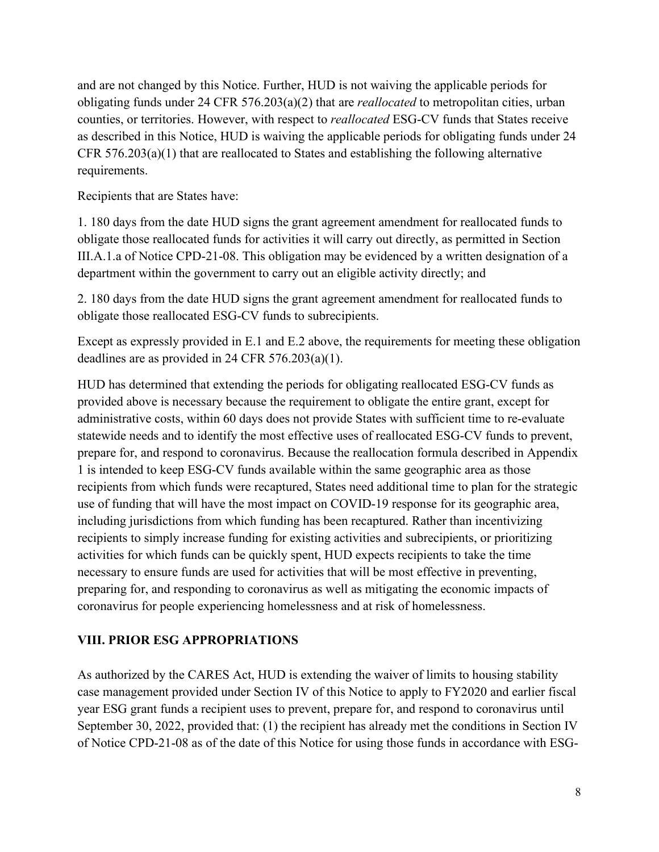and are not changed by this Notice. Further, HUD is not waiving the applicable periods for obligating funds under 24 CFR 576.203(a)(2) that are *reallocated* to metropolitan cities, urban counties, or territories. However, with respect to *reallocated* ESG-CV funds that States receive as described in this Notice, HUD is waiving the applicable periods for obligating funds under 24 CFR 576.203(a)(1) that are reallocated to States and establishing the following alternative requirements.

Recipients that are States have:

1. 180 days from the date HUD signs the grant agreement amendment for reallocated funds to obligate those reallocated funds for activities it will carry out directly, as permitted in Section III.A.1.a of Notice CPD-21-08. This obligation may be evidenced by a written designation of a department within the government to carry out an eligible activity directly; and

2. 180 days from the date HUD signs the grant agreement amendment for reallocated funds to obligate those reallocated ESG-CV funds to subrecipients.

Except as expressly provided in E.1 and E.2 above, the requirements for meeting these obligation deadlines are as provided in 24 CFR 576.203(a)(1).

HUD has determined that extending the periods for obligating reallocated ESG-CV funds as provided above is necessary because the requirement to obligate the entire grant, except for administrative costs, within 60 days does not provide States with sufficient time to re-evaluate statewide needs and to identify the most effective uses of reallocated ESG-CV funds to prevent, prepare for, and respond to coronavirus. Because the reallocation formula described in Appendix 1 is intended to keep ESG-CV funds available within the same geographic area as those recipients from which funds were recaptured, States need additional time to plan for the strategic use of funding that will have the most impact on COVID-19 response for its geographic area, including jurisdictions from which funding has been recaptured. Rather than incentivizing recipients to simply increase funding for existing activities and subrecipients, or prioritizing activities for which funds can be quickly spent, HUD expects recipients to take the time necessary to ensure funds are used for activities that will be most effective in preventing, preparing for, and responding to coronavirus as well as mitigating the economic impacts of coronavirus for people experiencing homelessness and at risk of homelessness.

## **VIII. PRIOR ESG APPROPRIATIONS**

As authorized by the CARES Act, HUD is extending the waiver of limits to housing stability case management provided under Section IV of this Notice to apply to FY2020 and earlier fiscal year ESG grant funds a recipient uses to prevent, prepare for, and respond to coronavirus until September 30, 2022, provided that: (1) the recipient has already met the conditions in Section IV of Notice CPD-21-08 as of the date of this Notice for using those funds in accordance with ESG-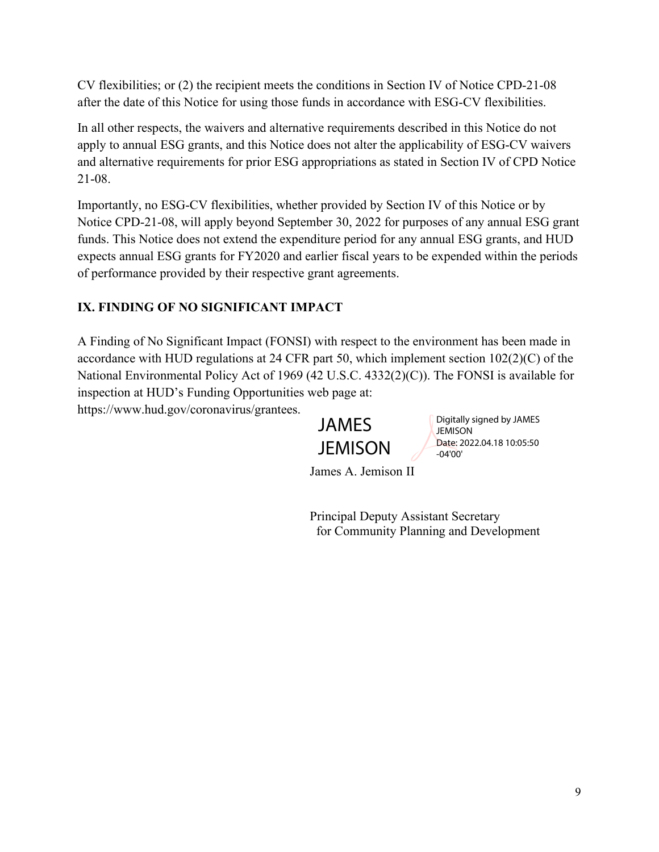CV flexibilities; or (2) the recipient meets the conditions in Section IV of Notice CPD-21-08 after the date of this Notice for using those funds in accordance with ESG-CV flexibilities.

In all other respects, the waivers and alternative requirements described in this Notice do not apply to annual ESG grants, and this Notice does not alter the applicability of ESG-CV waivers and alternative requirements for prior ESG appropriations as stated in Section IV of CPD Notice 21-08.

Importantly, no ESG-CV flexibilities, whether provided by Section IV of this Notice or by Notice CPD-21-08, will apply beyond September 30, 2022 for purposes of any annual ESG grant funds. This Notice does not extend the expenditure period for any annual ESG grants, and HUD expects annual ESG grants for FY2020 and earlier fiscal years to be expended within the periods of performance provided by their respective grant agreements.

# **IX. FINDING OF NO SIGNIFICANT IMPACT**

A Finding of No Significant Impact (FONSI) with respect to the environment has been made in accordance with HUD regulations at 24 CFR part 50, which implement section 102(2)(C) of the National Environmental Policy Act of 1969 (42 U.S.C. 4332(2)(C)). The FONSI is available for inspection at HUD's Funding Opportunities web page at: https://www.hud.gov/coronavirus/grantees.

JAMES **JEMISON**  Digitally signed by JAMES **JEMISON** Date: 2022.04.18 10:05:50 -04'00'

James A. Jemison II

Principal Deputy Assistant Secretary for Community Planning and Development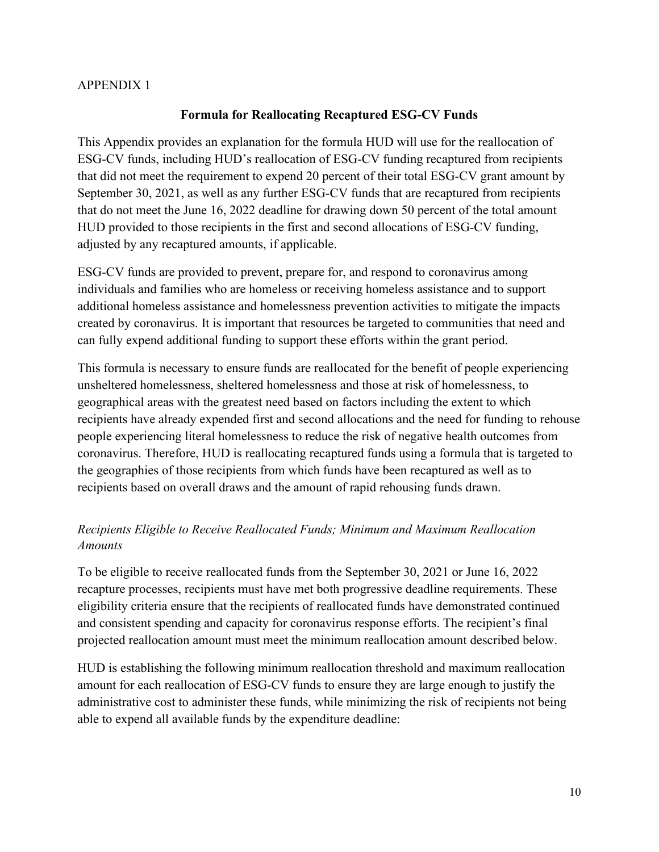#### APPENDIX 1

#### **Formula for Reallocating Recaptured ESG-CV Funds**

This Appendix provides an explanation for the formula HUD will use for the reallocation of ESG-CV funds, including HUD's reallocation of ESG-CV funding recaptured from recipients that did not meet the requirement to expend 20 percent of their total ESG-CV grant amount by September 30, 2021, as well as any further ESG-CV funds that are recaptured from recipients that do not meet the June 16, 2022 deadline for drawing down 50 percent of the total amount HUD provided to those recipients in the first and second allocations of ESG-CV funding, adjusted by any recaptured amounts, if applicable.

ESG-CV funds are provided to prevent, prepare for, and respond to coronavirus among individuals and families who are homeless or receiving homeless assistance and to support additional homeless assistance and homelessness prevention activities to mitigate the impacts created by coronavirus. It is important that resources be targeted to communities that need and can fully expend additional funding to support these efforts within the grant period.

This formula is necessary to ensure funds are reallocated for the benefit of people experiencing unsheltered homelessness, sheltered homelessness and those at risk of homelessness, to geographical areas with the greatest need based on factors including the extent to which recipients have already expended first and second allocations and the need for funding to rehouse people experiencing literal homelessness to reduce the risk of negative health outcomes from coronavirus. Therefore, HUD is reallocating recaptured funds using a formula that is targeted to the geographies of those recipients from which funds have been recaptured as well as to recipients based on overall draws and the amount of rapid rehousing funds drawn.

## *Recipients Eligible to Receive Reallocated Funds; Minimum and Maximum Reallocation Amounts*

To be eligible to receive reallocated funds from the September 30, 2021 or June 16, 2022 recapture processes, recipients must have met both progressive deadline requirements. These eligibility criteria ensure that the recipients of reallocated funds have demonstrated continued and consistent spending and capacity for coronavirus response efforts. The recipient's final projected reallocation amount must meet the minimum reallocation amount described below.

HUD is establishing the following minimum reallocation threshold and maximum reallocation amount for each reallocation of ESG-CV funds to ensure they are large enough to justify the administrative cost to administer these funds, while minimizing the risk of recipients not being able to expend all available funds by the expenditure deadline: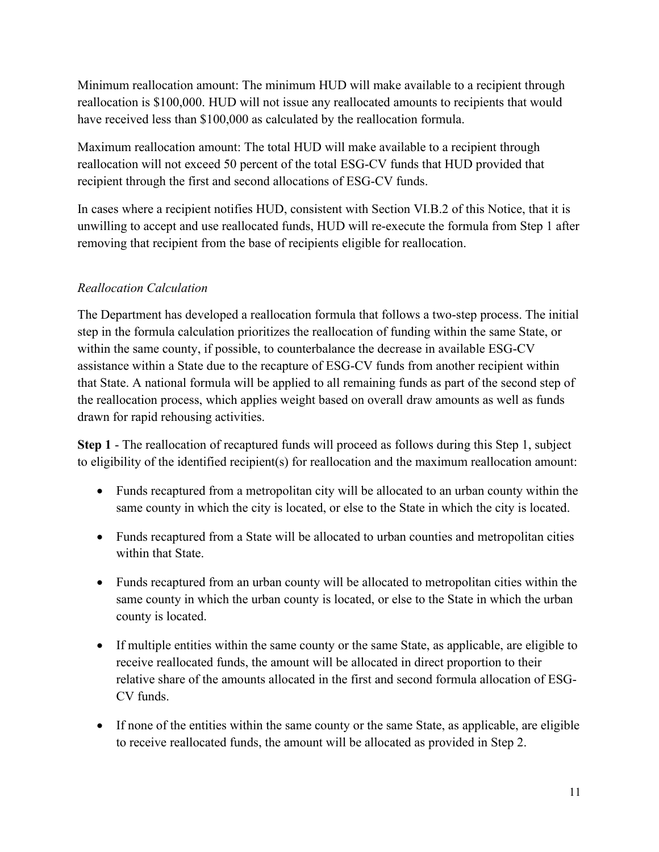Minimum reallocation amount: The minimum HUD will make available to a recipient through reallocation is \$100,000. HUD will not issue any reallocated amounts to recipients that would have received less than \$100,000 as calculated by the reallocation formula.

Maximum reallocation amount: The total HUD will make available to a recipient through reallocation will not exceed 50 percent of the total ESG-CV funds that HUD provided that recipient through the first and second allocations of ESG-CV funds.

In cases where a recipient notifies HUD, consistent with Section VI.B.2 of this Notice, that it is unwilling to accept and use reallocated funds, HUD will re-execute the formula from Step 1 after removing that recipient from the base of recipients eligible for reallocation.

# *Reallocation Calculation*

The Department has developed a reallocation formula that follows a two-step process. The initial step in the formula calculation prioritizes the reallocation of funding within the same State, or within the same county, if possible, to counterbalance the decrease in available ESG-CV assistance within a State due to the recapture of ESG-CV funds from another recipient within that State. A national formula will be applied to all remaining funds as part of the second step of the reallocation process, which applies weight based on overall draw amounts as well as funds drawn for rapid rehousing activities.

**Step 1** - The reallocation of recaptured funds will proceed as follows during this Step 1, subject to eligibility of the identified recipient(s) for reallocation and the maximum reallocation amount:

- Funds recaptured from a metropolitan city will be allocated to an urban county within the same county in which the city is located, or else to the State in which the city is located.
- Funds recaptured from a State will be allocated to urban counties and metropolitan cities within that State.
- Funds recaptured from an urban county will be allocated to metropolitan cities within the same county in which the urban county is located, or else to the State in which the urban county is located.
- If multiple entities within the same county or the same State, as applicable, are eligible to receive reallocated funds, the amount will be allocated in direct proportion to their relative share of the amounts allocated in the first and second formula allocation of ESG-CV funds.
- If none of the entities within the same county or the same State, as applicable, are eligible to receive reallocated funds, the amount will be allocated as provided in Step 2.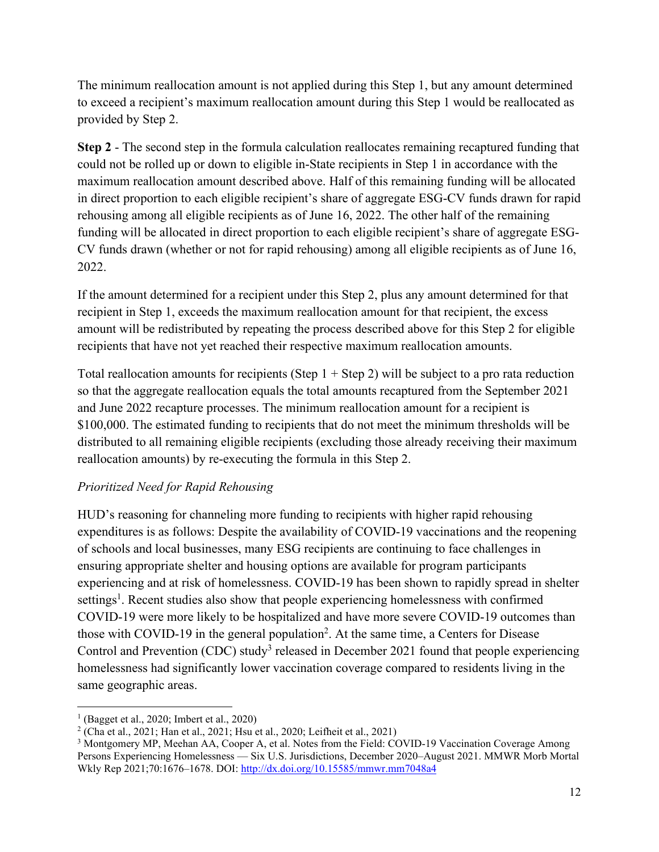The minimum reallocation amount is not applied during this Step 1, but any amount determined to exceed a recipient's maximum reallocation amount during this Step 1 would be reallocated as provided by Step 2.

**Step 2** - The second step in the formula calculation reallocates remaining recaptured funding that could not be rolled up or down to eligible in-State recipients in Step 1 in accordance with the maximum reallocation amount described above. Half of this remaining funding will be allocated in direct proportion to each eligible recipient's share of aggregate ESG-CV funds drawn for rapid rehousing among all eligible recipients as of June 16, 2022. The other half of the remaining funding will be allocated in direct proportion to each eligible recipient's share of aggregate ESG-CV funds drawn (whether or not for rapid rehousing) among all eligible recipients as of June 16, 2022.

If the amount determined for a recipient under this Step 2, plus any amount determined for that recipient in Step 1, exceeds the maximum reallocation amount for that recipient, the excess amount will be redistributed by repeating the process described above for this Step 2 for eligible recipients that have not yet reached their respective maximum reallocation amounts.

Total reallocation amounts for recipients (Step  $1 +$  Step 2) will be subject to a pro rata reduction so that the aggregate reallocation equals the total amounts recaptured from the September 2021 and June 2022 recapture processes. The minimum reallocation amount for a recipient is \$100,000. The estimated funding to recipients that do not meet the minimum thresholds will be distributed to all remaining eligible recipients (excluding those already receiving their maximum reallocation amounts) by re-executing the formula in this Step 2.

# *Prioritized Need for Rapid Rehousing*

HUD's reasoning for channeling more funding to recipients with higher rapid rehousing expenditures is as follows: Despite the availability of COVID-19 vaccinations and the reopening of schools and local businesses, many ESG recipients are continuing to face challenges in ensuring appropriate shelter and housing options are available for program participants experiencing and at risk of homelessness. COVID-19 has been shown to rapidly spread in shelter [s](#page-11-0)ettings<sup>1</sup>. Recent studies also show that people experiencing homelessness with confirmed COVID-19 were more likely to be hospitalized and have more severe COVID-19 outcomes than those with COVID-19 in the general population<sup>2</sup>[.](#page-11-1) At the same time, a Centers for Disease Control and Prevention (CDC) stud[y](#page-11-2)<sup>3</sup> released in December 2021 found that people experiencing homelessness had significantly lower vaccination coverage compared to residents living in the same geographic areas.

<span id="page-11-0"></span><sup>1</sup> (Bagget et al., 2020; Imbert et al., 2020)

<span id="page-11-1"></span><sup>2</sup> (Cha et al., 2021; Han et al., 2021; Hsu et al., 2020; Leifheit et al., 2021)

<span id="page-11-2"></span><sup>&</sup>lt;sup>3</sup> Montgomery MP, Meehan AA, Cooper A, et al. Notes from the Field: COVID-19 Vaccination Coverage Among Persons Experiencing Homelessness — Six U.S. Jurisdictions, December 2020–August 2021. MMWR Morb Mortal Wkly Rep 2021;70:1676–1678. DOI:<http://dx.doi.org/10.15585/mmwr.mm7048a4>